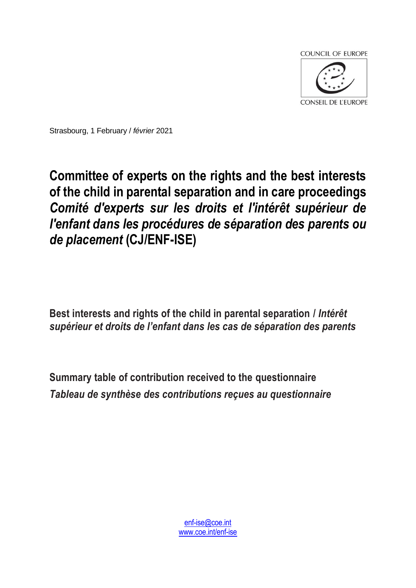

Strasbourg, 1 February / *février* 2021

## **Committee of experts on the rights and the best interests of the child in parental separation and in care proceedings**  *Comité d'experts sur les droits et l'intérêt supérieur de l'enfant dans les procédures de séparation des parents ou de placement* **(CJ/ENF-ISE)**

**Best interests and rights of the child in parental separation /** *Intérêt supérieur et droits de l'enfant dans les cas de séparation des parents*

**Summary table of contribution received to the questionnaire** *Tableau de synthèse des contributions reçues au questionnaire*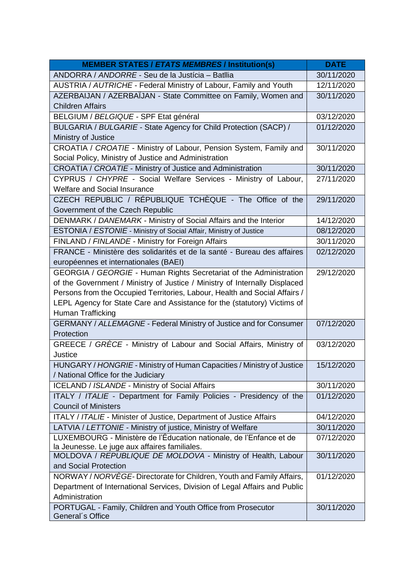| <b>MEMBER STATES / ETATS MEMBRES / Institution(s)</b>                                                                | <b>DATE</b> |
|----------------------------------------------------------------------------------------------------------------------|-------------|
| ANDORRA / ANDORRE - Seu de la Justícia - Batllia                                                                     | 30/11/2020  |
| AUSTRIA / AUTRICHE - Federal Ministry of Labour, Family and Youth                                                    | 12/11/2020  |
| AZERBAIJAN / AZERBAÏJAN - State Committee on Family, Women and                                                       | 30/11/2020  |
| <b>Children Affairs</b>                                                                                              |             |
| BELGIUM / BELGIQUE - SPF Etat général                                                                                | 03/12/2020  |
| BULGARIA / BULGARIE - State Agency for Child Protection (SACP) /                                                     | 01/12/2020  |
| Ministry of Justice                                                                                                  |             |
| CROATIA / CROATIE - Ministry of Labour, Pension System, Family and                                                   | 30/11/2020  |
| Social Policy, Ministry of Justice and Administration                                                                |             |
| CROATIA / CROATIE - Ministry of Justice and Administration                                                           | 30/11/2020  |
| CYPRUS / CHYPRE - Social Welfare Services - Ministry of Labour,                                                      | 27/11/2020  |
| <b>Welfare and Social Insurance</b>                                                                                  |             |
| CZECH REPUBLIC / RÉPUBLIQUE TCHÈQUE - The Office of the                                                              | 29/11/2020  |
| Government of the Czech Republic                                                                                     |             |
| DENMARK / DANEMARK - Ministry of Social Affairs and the Interior                                                     | 14/12/2020  |
| ESTONIA / ESTONIE - Ministry of Social Affair, Ministry of Justice                                                   | 08/12/2020  |
| FINLAND / FINLANDE - Ministry for Foreign Affairs                                                                    | 30/11/2020  |
| FRANCE - Ministère des solidarités et de la santé - Bureau des affaires                                              | 02/12/2020  |
| européennes et internationales (BAEI)                                                                                |             |
| GEORGIA / GEORGIE - Human Rights Secretariat of the Administration                                                   | 29/12/2020  |
| of the Government / Ministry of Justice / Ministry of Internally Displaced                                           |             |
| Persons from the Occupied Territories, Labour, Health and Social Affairs /                                           |             |
| LEPL Agency for State Care and Assistance for the (statutory) Victims of                                             |             |
| Human Trafficking                                                                                                    |             |
| GERMANY / ALLEMAGNE - Federal Ministry of Justice and for Consumer                                                   | 07/12/2020  |
| Protection                                                                                                           |             |
| GREECE / GRÈCE - Ministry of Labour and Social Affairs, Ministry of                                                  | 03/12/2020  |
| Justice                                                                                                              |             |
| HUNGARY / HONGRIE - Ministry of Human Capacities / Ministry of Justice                                               | 15/12/2020  |
| / National Office for the Judiciary                                                                                  |             |
| <b>ICELAND / ISLANDE - Ministry of Social Affairs</b>                                                                | 30/11/2020  |
| ITALY / ITALIE - Department for Family Policies - Presidency of the                                                  | 01/12/2020  |
| <b>Council of Ministers</b>                                                                                          |             |
| ITALY / ITALIE - Minister of Justice, Department of Justice Affairs                                                  | 04/12/2020  |
| LATVIA / LETTONIE - Ministry of justice, Ministry of Welfare                                                         | 30/11/2020  |
| LUXEMBOURG - Ministère de l'Éducation nationale, de l'Enfance et de<br>la Jeunesse. Le juge aux affaires familiales. | 07/12/2020  |
| MOLDOVA / REPUBLIQUE DE MOLDOVA - Ministry of Health, Labour                                                         | 30/11/2020  |
| and Social Protection                                                                                                |             |
| NORWAY / NORVEGE- Directorate for Children, Youth and Family Affairs,                                                | 01/12/2020  |
| Department of International Services, Division of Legal Affairs and Public                                           |             |
| Administration                                                                                                       |             |
| PORTUGAL - Family, Children and Youth Office from Prosecutor                                                         | 30/11/2020  |
| General's Office                                                                                                     |             |